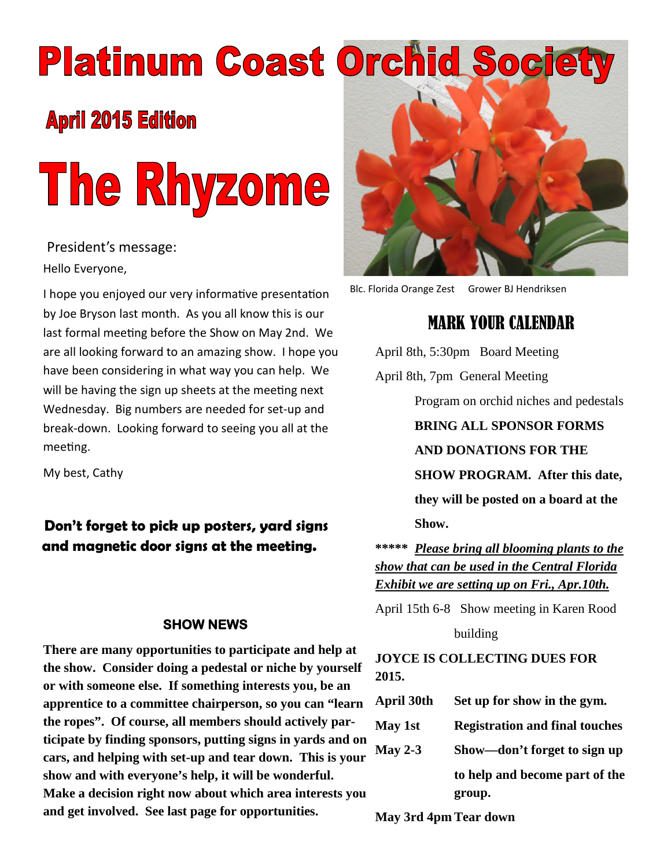# **Platinum Coast Orchid Soc**

# **April 2015 Edition**



President's message: Hello Everyone,

I hope you enjoyed our very informative presentation by Joe Bryson last month. As you all know this is our last formal meeting before the Show on May 2nd. We are all looking forward to an amazing show. I hope you have been considering in what way you can help. We will be having the sign up sheets at the meeting next Wednesday. Big numbers are needed for set-up and break-down. Looking forward to seeing you all at the meeting.

My best, Cathy

#### **Don't forget to pick up posters, yard signs and magnetic door signs at the meeting.**

#### **SHOW NEWS**

**There are many opportunities to participate and help at the show. Consider doing a pedestal or niche by yourself or with someone else. If something interests you, be an apprentice to a committee chairperson, so you can "learn the ropes". Of course, all members should actively participate by finding sponsors, putting signs in yards and on cars, and helping with set-up and tear down. This is your show and with everyone's help, it will be wonderful. Make a decision right now about which area interests you and get involved. See last page for opportunities.**



Blc. Florida Orange Zest Grower BJ Hendriksen

# MARK YOUR CALENDAR

April 8th, 5:30pm Board Meeting April 8th, 7pm General Meeting

Program on orchid niches and pedestals

**BRING ALL SPONSOR FORMS**

**AND DONATIONS FOR THE**

**SHOW PROGRAM. After this date,**

**they will be posted on a board at the Show.**

**\*\*\*\*\*** *Please bring all blooming plants to the show that can be used in the Central Florida Exhibit we are setting up on Fri., Apr.10th.*

April 15th 6-8 Show meeting in Karen Rood

building

**JOYCE IS COLLECTING DUES FOR 2015.**

| April 30th     | Set up for show in the gym.           |
|----------------|---------------------------------------|
| May 1st        | <b>Registration and final touches</b> |
| <b>May 2-3</b> | Show—don't forget to sign up          |
|                | to help and become part of the        |

**May 3rd 4pm Tear down**

**group.**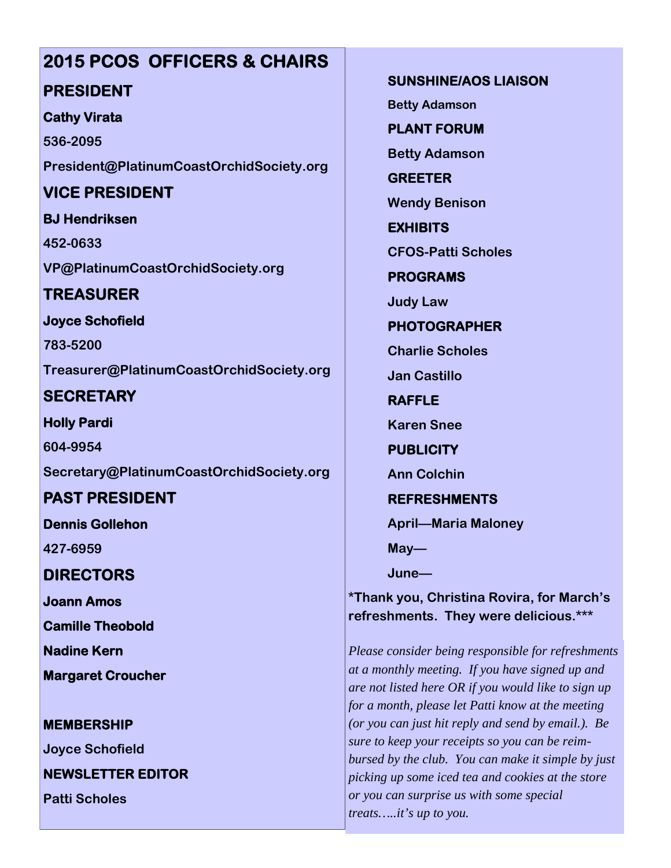# **2015 PCOS OFFICERS & CHAIRS**

#### **PRESIDENT**

#### **Cathy Virata**

**536-2095 President@PlatinumCoastOrchidSociety.org**

## **VICE PRESIDENT**

**BJ Hendriksen**

**452-0633 VP@PlatinumCoastOrchidSociety.org**

# **TREASURER**

**Joyce Schofield**

**783-5200 Treasurer@PlatinumCoastOrchidSociety.org**

# **SECRETARY**

**Holly Pardi 604-9954**

**Secretary@PlatinumCoastOrchidSociety.org**

# **PAST PRESIDENT**

**Dennis Gollehon**

**427-6959**

**DIRECTORS**

**Joann Amos**

**Camille Theobold**

**Nadine Kern**

**Margaret Croucher**

#### **MEMBERSHIP**

**Joyce Schofield**

**NEWSLETTER EDITOR**

**Patti Scholes**

**SUNSHINE/AOS LIAISON**

**Betty Adamson**

**PLANT FORUM**

**Betty Adamson**

**GREETER Wendy Benison**

**EXHIBITS**

**CFOS-Patti Scholes**

**PROGRAMS**

**Judy Law**

**PHOTOGRAPHER**

**Charlie Scholes**

**Jan Castillo**

**RAFFLE**

**Karen Snee**

**PUBLICITY**

**Ann Colchin**

#### **REFRESHMENTS**

**April—Maria Maloney**

**May—**

**June—**

**\*Thank you, Christina Rovira, for March's refreshments. They were delicious.\*\*\***

*Please consider being responsible for refreshments at a monthly meeting. If you have signed up and are not listed here OR if you would like to sign up for a month, please let Patti know at the meeting (or you can just hit reply and send by email.). Be sure to keep your receipts so you can be reimbursed by the club. You can make it simple by just picking up some iced tea and cookies at the store or you can surprise us with some special treats…..it's up to you.*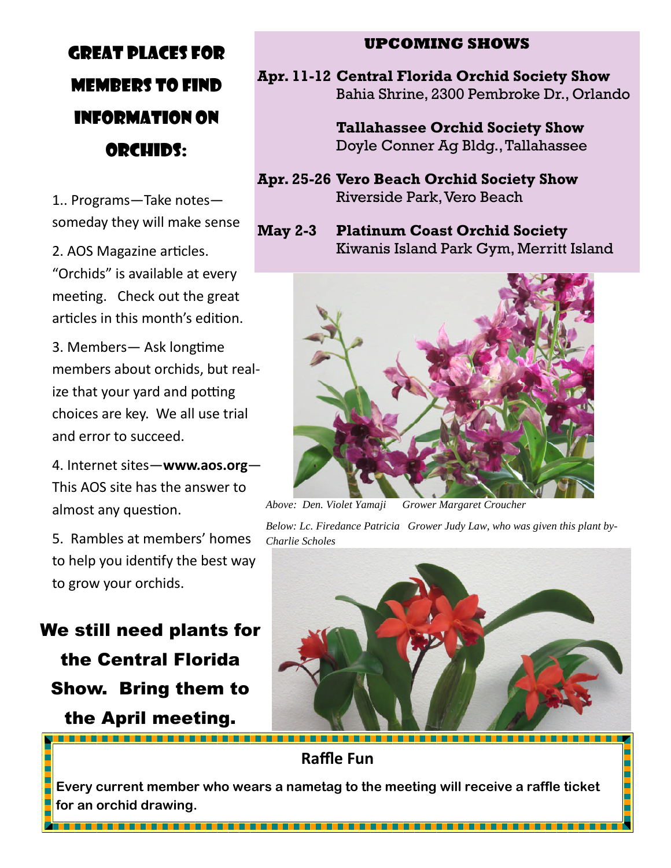# GREAT PLACES FOR MEMBERS TO FIND INFORMATION ON ORCHIDS:

1.. Programs—Take notes someday they will make sense

2. AOS Magazine articles. "Orchids" is available at every meeting. Check out the great articles in this month's edition.

3. Members - Ask longtime members about orchids, but realize that your yard and potting choices are key. We all use trial and error to succeed.

4. Internet sites—**www.aos.org**— This AOS site has the answer to almost any question.

5. Rambles at members' homes to help you identify the best way to grow your orchids.

We still need plants for the Central Florida Show. Bring them to the April meeting.

#### **UPCOMING SHOWS**

**Apr. 11-12 Central Florida Orchid Society Show** Bahia Shrine, 2300 Pembroke Dr., Orlando

> **Tallahassee Orchid Society Show** Doyle Conner Ag Bldg., Tallahassee

- **Apr. 25-26 Vero Beach Orchid Society Show** Riverside Park,Vero Beach
- **May 2-3 Platinum Coast Orchid Society** Kiwanis Island Park Gym, Merritt Island



*Above: Den. Violet Yamaji Grower Margaret Croucher*

*Below: Lc. Firedance Patricia Grower Judy Law, who was given this plant by-Charlie Scholes*



**Raffle Fun**

**Every current member who wears a nametag to the meeting will receive a raffle ticket for an orchid drawing.**